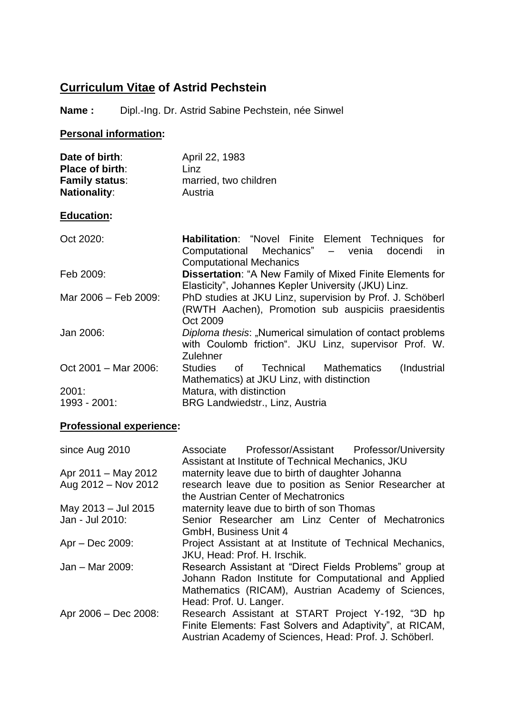# **Curriculum Vitae of Astrid Pechstein**

# **Name :** Dipl.-Ing. Dr. Astrid Sabine Pechstein, née Sinwel

## **Personal information:**

| Date of birth:        | April 22, 1983        |
|-----------------------|-----------------------|
| Place of birth:       | Linz                  |
| <b>Family status:</b> | married, two children |
| <b>Nationality:</b>   | Austria               |

## **Education:**

| Oct 2020:             | Habilitation: "Novel Finite Element Techniques<br>for<br>Computational Mechanics" - venia docendi<br>in.<br><b>Computational Mechanics</b> |
|-----------------------|--------------------------------------------------------------------------------------------------------------------------------------------|
| Feb 2009:             | <b>Dissertation: "A New Family of Mixed Finite Elements for</b><br>Elasticity", Johannes Kepler University (JKU) Linz.                     |
| Mar 2006 - Feb 2009:  | PhD studies at JKU Linz, supervision by Prof. J. Schöberl<br>(RWTH Aachen), Promotion sub auspiciis praesidentis<br>Oct 2009               |
| Jan 2006:             | Diploma thesis: "Numerical simulation of contact problems<br>with Coulomb friction". JKU Linz, supervisor Prof. W.<br>Zulehner             |
| Oct 2001 - Mar 2006:  | (Industrial<br>of Technical Mathematics<br>Studies<br>Mathematics) at JKU Linz, with distinction                                           |
| 2001:<br>1993 - 2001: | Matura, with distinction<br><b>BRG Landwiedstr., Linz, Austria</b>                                                                         |

# **Professional experience:**

| since Aug 2010       | Associate Professor/Assistant Professor/University<br>Assistant at Institute of Technical Mechanics, JKU                                                                                        |
|----------------------|-------------------------------------------------------------------------------------------------------------------------------------------------------------------------------------------------|
| Apr 2011 – May 2012  | maternity leave due to birth of daughter Johanna                                                                                                                                                |
| Aug 2012 - Nov 2012  | research leave due to position as Senior Researcher at<br>the Austrian Center of Mechatronics                                                                                                   |
| May 2013 - Jul 2015  | maternity leave due to birth of son Thomas                                                                                                                                                      |
| Jan - Jul 2010:      | Senior Researcher am Linz Center of Mechatronics<br>GmbH, Business Unit 4                                                                                                                       |
| $Apr - Dec 2009$ :   | Project Assistant at at Institute of Technical Mechanics,<br>JKU, Head: Prof. H. Irschik.                                                                                                       |
| Jan - Mar 2009:      | Research Assistant at "Direct Fields Problems" group at<br>Johann Radon Institute for Computational and Applied<br>Mathematics (RICAM), Austrian Academy of Sciences,<br>Head: Prof. U. Langer. |
| Apr 2006 - Dec 2008: | Research Assistant at START Project Y-192, "3D hp<br>Finite Elements: Fast Solvers and Adaptivity", at RICAM,<br>Austrian Academy of Sciences, Head: Prof. J. Schöberl.                         |